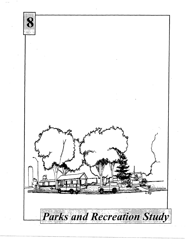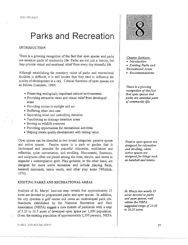# **Parks and Recreation**

## INTRODUCTION

There is a growing recognition of the fact that open spaces and parks are essential parts of community life. Parks are not just a luxury, but they provide visual and emotional relief from every day stressful life.

Although establishing the monetary value of parks and recreational facilities is difficult, it is well known that they tend to influence the quality of development in a city. Critical functions of open spaces are as follows (Listoken, 1989):

- Preserving ecologically important natural environments
- Providing attractive views and visual relief from developed areas
- Providing access to sunlight and air
- Buffering other land uses
- Separating areas and controlling densities
- Functioning as drainage detention areas
- Serving as wildlife preserves
- Providing opportunities for recreational activities
- Helping create quality development with lasting value

Open spaces can be classified in two broad categories: passive spaces and active spaces. Passive space is a park or garden that is landscaped and intended for peaceful relaxation, meditation and reflection, quiet conversation, and strolling. Monuments, fountains, and sculptures often are placed among the trees, shrubs, and lawns to engender a contemplative spirit. Play grounds, on the other hand, are designed for more active recreation and include playing fields, baseball diamonds, tennis courts, and other play areas (Whittick, 1974).

## EXISTING PARKS AND RECREATIONAL AREAS

Analysis of St. Marys' land-use map reveals that approximately 25 acres are devoted to programmed parks and open spaces. In addition, the city operates a golf course and owns an undeveloped park site. Standards established by the National Recreation and Park Association (NRPA) suggest a core system of parklands with a total of 6.25 to 10.5 acres of developed open space per 1,000 population. Given the existing population of approximately 2,500 persons, NRP A

l~ !RA'S. J.. VD H!X'R.l:"ITiU.V



### *Chapter Sections:*

- *Introduction*
- *Existing Parks and Recreational Areas*
- *Recommendations*

*There is a gr01·ving recognition ofthefact that open spaces and parks are essential parts of community life.* 

*Passive open spaces are designed for relaxation and strolling, while active spaces are designed for things such as baseball and tennis.* 

*St. Marys has nearly 25 acres devoted to parks and open spaces, well within the NRPA suggested range of 15. 63 to 26.25 acres.* 

97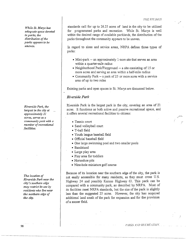*While St. Marys has adequate space devoted to parks, the*  distribution of the *parks appears to be uneven.* 

*Riverside Park, the largest in the city at approximately 21 acres, serves as a community park with a number· of recreational facilities.* 

*The location of Riverside Park near the city's southern edge may restrict its use by residents who live near the northern edge of the city.* 

standards call for up to 26.25 acres of land in the city to be utilized for programmed parks and recreation. While St. Marys is well within the desired range of available parklands, the distribution of the parks throughout the community appears to be uneven.

In regard to sizes and service areas, NRPA defines three types of parks:

- Mini-park -- an approximately 1-acre site that serves an area within a quarter-mile radius
- Neighborhood Park/Playground -- a site consisting of 15 or more acres and serving an area within a half-mile radius
- Community Park -- a park of 25 or more acres with a service area of up to two miles

Existing parks and open spaces in St. Marys are discussed below.

## *Riverside Park*

Riverside Park is the largest park in the city, covering an area of 21 acres. It functions as both active and passive recreational space, and it offers several recreational facilities to citizens:

- Tennis court
- Sand volleyball court
- T-ball field
- Youth league baseball field
- Official baseball field
- One large swimming pool and two smaller pools
- Bandstand
- Large play area
- Play area for toddlers
- Horseshoe pits
- Nine-hole miniature golf course

Because of its location near the southern edge of the city, the park is not easily accessible for many residents, as they must cross U.S. Highway 24 and possibly Kansas Highway 63. This park can be compared with a community park, as described by NRPA. Most of its facilities meet NRPA standards, but the size of the park is slightly less than the suggested 25 acres. However, the city has acquired additional land south of the park for expansion and for the provision of a soccer field.

- PARKS AND RECREATION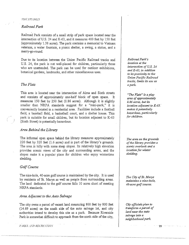#### *·1H1-:·* sn:Dns

## *Railroad Park*

Railroad Park consists of a small strip of park space located near the intersection of U.S. 24 and K-63, and it measures 400 feet by 150 feet (approximately 1.38 acres). The park contains a memorial to Vietnam veterans, a water fountain, a picnic shelter, a swing, a statue, and a merry-go-round.

Due to its location between the Union Pacific Railroad tracks and U.S. 24, the park *is* not well-placed for children, particularly those who are unattended. The park can be used for outdoor exhibitions, botanical gardens, landmarks, and other miscellaneous uses.

## *The Flats*

This area is located near the intersection of Alma and Sixth streets and consists of approximately one-half block of open space. It measures 150 feet by 250 feet (0.86 acres). Although it is slightly smaller than NRPA standards suggest for a "mini-park," it is conveniently located in a residential area. Facilities include a football field, a baseball field, a basketball court, and a shelter house. This park is suitable for small children, but its location adjacent to K-63 (Sixth Street) is potentially hazardous.

### *Area Behind the Library*

The informal open space behind the library measures approximately 220 feet by 320 feet (1.6 acres) and is part of the library's grounds. The area is hilly with some steep slopes. Its relatively high elevation provides scenic views of the city and surrounding areas, and the slopes make it a popular place for children who enjoy wintertime sledding.

## *Golf Course*

The nine-hole, 40-acre golf course is maintained by the city. It is used by residents of St. Marys as well as people from surrounding areas. The land dedicated to the golf course falls 10 acres short of meeting NRPA standards.

## *Area Adjacent to the Auto Salvage*

The city owns a parcel of vacant land measuring 800 feet by 800 feet (14.69 acres) on the south side of the auto salvage lot, and city authorities intend to develop this site as a park. Because Riverside Park is somewhat difficult to approach from the north side of the city,

l'. l RJ\S. l.Vl> HECR!:' -! f'l O.\'

*Railroad Park's location at the intersection of U.S. 24 and K-63, in addition to its proximity to the Union Pacific Railroad tracks, limits its use as a park.* 

*"The Flats" is a play area of approximately 0. 86 acres, but its location adjacent to K-63.* ·· *makes it potentially hazardous, particularly for children.* 

*The area on the grounds of the library provides a scenic overlook and a location for winter sledding.* 

*The City of St. Marys maintains a nine-hole, 40-acre golf course.* 

*City officials plan to transform a parcel of land near the auto salvage into a neighborhood park.*